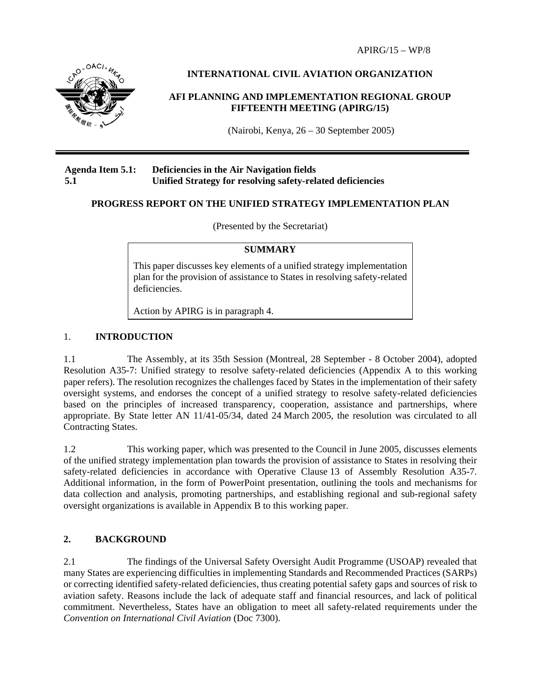$APIRG/15 - WP/8$ 



**INTERNATIONAL CIVIL AVIATION ORGANIZATION** 

#### **AFI PLANNING AND IMPLEMENTATION REGIONAL GROUP FIFTEENTH MEETING (APIRG/15)**

(Nairobi, Kenya, 26 – 30 September 2005)

#### **Agenda Item 5.1: Deficiencies in the Air Navigation fields 5.1 Unified Strategy for resolving safety-related deficiencies**

#### **PROGRESS REPORT ON THE UNIFIED STRATEGY IMPLEMENTATION PLAN**

(Presented by the Secretariat)

#### **SUMMARY**

This paper discusses key elements of a unified strategy implementation plan for the provision of assistance to States in resolving safety-related deficiencies.

Action by APIRG is in paragraph 4.

#### 1. **INTRODUCTION**

1.1 The Assembly, at its 35th Session (Montreal, 28 September - 8 October 2004), adopted Resolution A35-7: Unified strategy to resolve safety-related deficiencies (Appendix A to this working paper refers). The resolution recognizes the challenges faced by States in the implementation of their safety oversight systems, and endorses the concept of a unified strategy to resolve safety-related deficiencies based on the principles of increased transparency, cooperation, assistance and partnerships, where appropriate. By State letter AN 11/41-05/34, dated 24 March 2005, the resolution was circulated to all Contracting States.

1.2 This working paper, which was presented to the Council in June 2005, discusses elements of the unified strategy implementation plan towards the provision of assistance to States in resolving their safety-related deficiencies in accordance with Operative Clause 13 of Assembly Resolution A35-7. Additional information, in the form of PowerPoint presentation, outlining the tools and mechanisms for data collection and analysis, promoting partnerships, and establishing regional and sub-regional safety oversight organizations is available in Appendix B to this working paper.

#### **2. BACKGROUND**

2.1 The findings of the Universal Safety Oversight Audit Programme (USOAP) revealed that many States are experiencing difficulties in implementing Standards and Recommended Practices (SARPs) or correcting identified safety-related deficiencies, thus creating potential safety gaps and sources of risk to aviation safety. Reasons include the lack of adequate staff and financial resources, and lack of political commitment. Nevertheless, States have an obligation to meet all safety-related requirements under the *Convention on International Civil Aviation* (Doc 7300).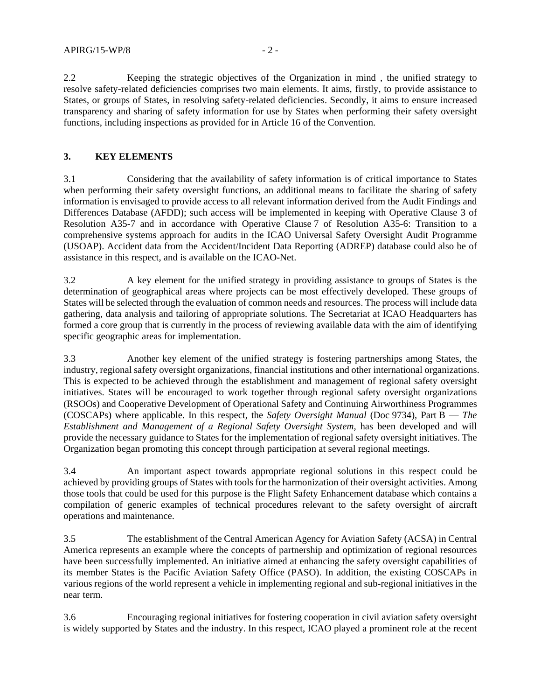2.2 Keeping the strategic objectives of the Organization in mind , the unified strategy to resolve safety-related deficiencies comprises two main elements. It aims, firstly, to provide assistance to States, or groups of States, in resolving safety-related deficiencies. Secondly, it aims to ensure increased transparency and sharing of safety information for use by States when performing their safety oversight functions, including inspections as provided for in Article 16 of the Convention.

#### **3. KEY ELEMENTS**

3.1 Considering that the availability of safety information is of critical importance to States when performing their safety oversight functions, an additional means to facilitate the sharing of safety information is envisaged to provide access to all relevant information derived from the Audit Findings and Differences Database (AFDD); such access will be implemented in keeping with Operative Clause 3 of Resolution A35-7 and in accordance with Operative Clause 7 of Resolution A35-6: Transition to a comprehensive systems approach for audits in the ICAO Universal Safety Oversight Audit Programme (USOAP). Accident data from the Accident/Incident Data Reporting (ADREP) database could also be of assistance in this respect, and is available on the ICAO-Net.

3.2 A key element for the unified strategy in providing assistance to groups of States is the determination of geographical areas where projects can be most effectively developed. These groups of States will be selected through the evaluation of common needs and resources. The process will include data gathering, data analysis and tailoring of appropriate solutions. The Secretariat at ICAO Headquarters has formed a core group that is currently in the process of reviewing available data with the aim of identifying specific geographic areas for implementation.

3.3 Another key element of the unified strategy is fostering partnerships among States, the industry, regional safety oversight organizations, financial institutions and other international organizations. This is expected to be achieved through the establishment and management of regional safety oversight initiatives. States will be encouraged to work together through regional safety oversight organizations (RSOOs) and Cooperative Development of Operational Safety and Continuing Airworthiness Programmes (COSCAPs) where applicable. In this respect, the *Safety Oversight Manual* (Doc 9734), Part B — *The Establishment and Management of a Regional Safety Oversight System*, has been developed and will provide the necessary guidance to States for the implementation of regional safety oversight initiatives. The Organization began promoting this concept through participation at several regional meetings.

3.4 An important aspect towards appropriate regional solutions in this respect could be achieved by providing groups of States with tools for the harmonization of their oversight activities. Among those tools that could be used for this purpose is the Flight Safety Enhancement database which contains a compilation of generic examples of technical procedures relevant to the safety oversight of aircraft operations and maintenance.

3.5 The establishment of the Central American Agency for Aviation Safety (ACSA) in Central America represents an example where the concepts of partnership and optimization of regional resources have been successfully implemented. An initiative aimed at enhancing the safety oversight capabilities of its member States is the Pacific Aviation Safety Office (PASO). In addition, the existing COSCAPs in various regions of the world represent a vehicle in implementing regional and sub-regional initiatives in the near term.

3.6 Encouraging regional initiatives for fostering cooperation in civil aviation safety oversight is widely supported by States and the industry. In this respect, ICAO played a prominent role at the recent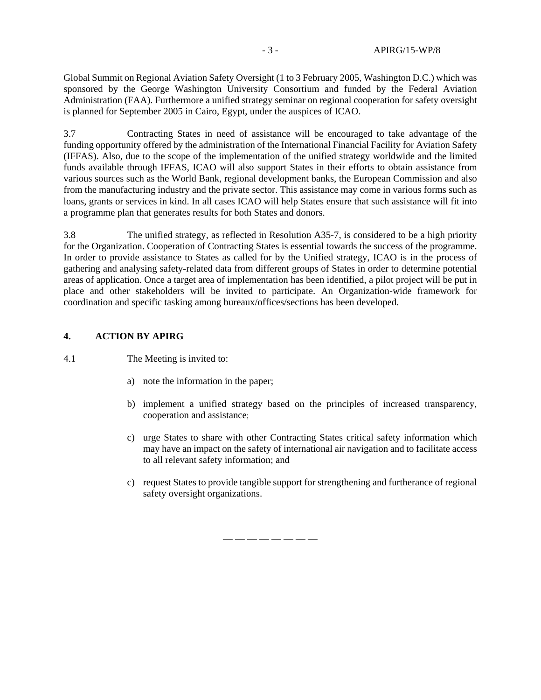Global Summit on Regional Aviation Safety Oversight (1 to 3 February 2005, Washington D.C.) which was sponsored by the George Washington University Consortium and funded by the Federal Aviation Administration (FAA). Furthermore a unified strategy seminar on regional cooperation for safety oversight is planned for September 2005 in Cairo, Egypt, under the auspices of ICAO.

3.7 Contracting States in need of assistance will be encouraged to take advantage of the funding opportunity offered by the administration of the International Financial Facility for Aviation Safety (IFFAS). Also, due to the scope of the implementation of the unified strategy worldwide and the limited funds available through IFFAS, ICAO will also support States in their efforts to obtain assistance from various sources such as the World Bank, regional development banks, the European Commission and also from the manufacturing industry and the private sector. This assistance may come in various forms such as loans, grants or services in kind. In all cases ICAO will help States ensure that such assistance will fit into a programme plan that generates results for both States and donors.

3.8 The unified strategy, as reflected in Resolution A35-7, is considered to be a high priority for the Organization. Cooperation of Contracting States is essential towards the success of the programme. In order to provide assistance to States as called for by the Unified strategy, ICAO is in the process of gathering and analysing safety-related data from different groups of States in order to determine potential areas of application. Once a target area of implementation has been identified, a pilot project will be put in place and other stakeholders will be invited to participate. An Organization-wide framework for coordination and specific tasking among bureaux/offices/sections has been developed.

#### **4. ACTION BY APIRG**

4.1 The Meeting is invited to:

- a) note the information in the paper;
- b) implement a unified strategy based on the principles of increased transparency, cooperation and assistance;
- c) urge States to share with other Contracting States critical safety information which may have an impact on the safety of international air navigation and to facilitate access to all relevant safety information; and
- c) request States to provide tangible support for strengthening and furtherance of regional safety oversight organizations.

 $\longrightarrow$   $\longrightarrow$   $\longrightarrow$   $\longrightarrow$   $\longrightarrow$   $\longrightarrow$   $\longrightarrow$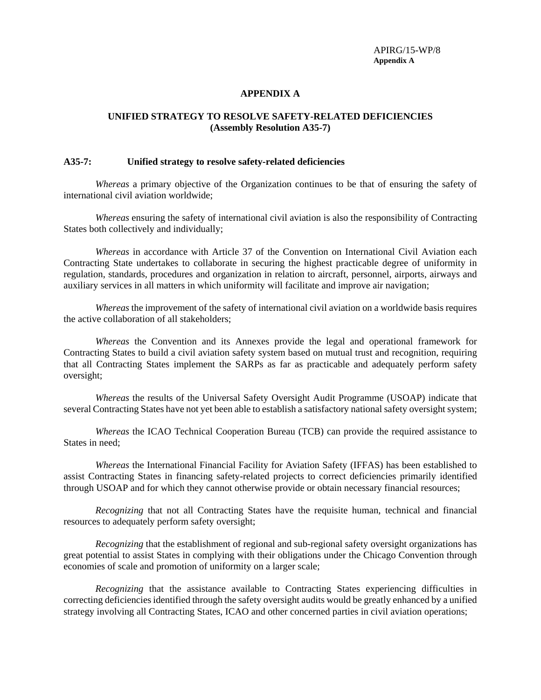APIRG/15-WP/8 **Appendix A**

#### **APPENDIX A**

#### **UNIFIED STRATEGY TO RESOLVE SAFETY-RELATED DEFICIENCIES (Assembly Resolution A35-7)**

#### **A35-7: Unified strategy to resolve safety-related deficiencies**

*Whereas* a primary objective of the Organization continues to be that of ensuring the safety of international civil aviation worldwide;

*Whereas* ensuring the safety of international civil aviation is also the responsibility of Contracting States both collectively and individually;

*Whereas* in accordance with Article 37 of the Convention on International Civil Aviation each Contracting State undertakes to collaborate in securing the highest practicable degree of uniformity in regulation, standards, procedures and organization in relation to aircraft, personnel, airports, airways and auxiliary services in all matters in which uniformity will facilitate and improve air navigation;

*Whereas* the improvement of the safety of international civil aviation on a worldwide basis requires the active collaboration of all stakeholders;

*Whereas* the Convention and its Annexes provide the legal and operational framework for Contracting States to build a civil aviation safety system based on mutual trust and recognition, requiring that all Contracting States implement the SARPs as far as practicable and adequately perform safety oversight;

*Whereas* the results of the Universal Safety Oversight Audit Programme (USOAP) indicate that several Contracting States have not yet been able to establish a satisfactory national safety oversight system;

*Whereas* the ICAO Technical Cooperation Bureau (TCB) can provide the required assistance to States in need;

*Whereas* the International Financial Facility for Aviation Safety (IFFAS) has been established to assist Contracting States in financing safety-related projects to correct deficiencies primarily identified through USOAP and for which they cannot otherwise provide or obtain necessary financial resources;

*Recognizing* that not all Contracting States have the requisite human, technical and financial resources to adequately perform safety oversight;

*Recognizing* that the establishment of regional and sub-regional safety oversight organizations has great potential to assist States in complying with their obligations under the Chicago Convention through economies of scale and promotion of uniformity on a larger scale;

*Recognizing* that the assistance available to Contracting States experiencing difficulties in correcting deficiencies identified through the safety oversight audits would be greatly enhanced by a unified strategy involving all Contracting States, ICAO and other concerned parties in civil aviation operations;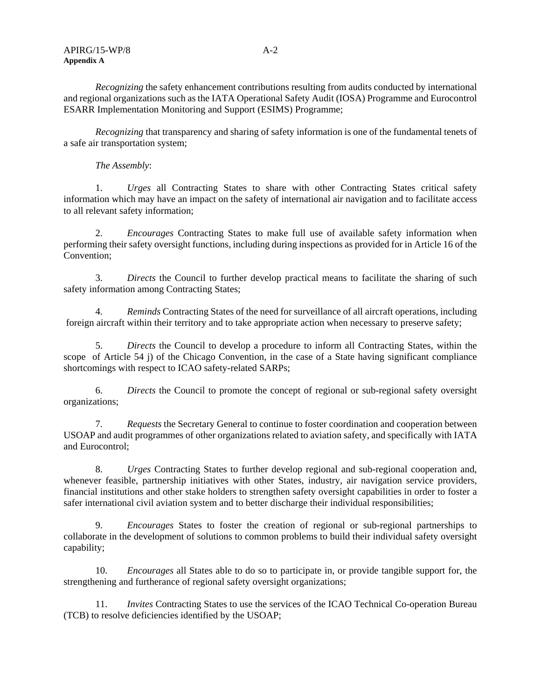*Recognizing* the safety enhancement contributions resulting from audits conducted by international and regional organizations such as the IATA Operational Safety Audit (IOSA) Programme and Eurocontrol ESARR Implementation Monitoring and Support (ESIMS) Programme;

*Recognizing* that transparency and sharing of safety information is one of the fundamental tenets of a safe air transportation system;

#### *The Assembly*:

1. *Urges* all Contracting States to share with other Contracting States critical safety information which may have an impact on the safety of international air navigation and to facilitate access to all relevant safety information;

2. *Encourages* Contracting States to make full use of available safety information when performing their safety oversight functions, including during inspections as provided for in Article 16 of the Convention;

3. *Directs* the Council to further develop practical means to facilitate the sharing of such safety information among Contracting States;

4. *Reminds* Contracting States of the need for surveillance of all aircraft operations, including foreign aircraft within their territory and to take appropriate action when necessary to preserve safety;

5. *Directs* the Council to develop a procedure to inform all Contracting States, within the scope of Article 54 j) of the Chicago Convention, in the case of a State having significant compliance shortcomings with respect to ICAO safety-related SARPs;

6. *Directs* the Council to promote the concept of regional or sub-regional safety oversight organizations;

7. *Requests* the Secretary General to continue to foster coordination and cooperation between USOAP and audit programmes of other organizations related to aviation safety, and specifically with IATA and Eurocontrol;

8. *Urges* Contracting States to further develop regional and sub-regional cooperation and, whenever feasible, partnership initiatives with other States, industry, air navigation service providers, financial institutions and other stake holders to strengthen safety oversight capabilities in order to foster a safer international civil aviation system and to better discharge their individual responsibilities;

9. *Encourages* States to foster the creation of regional or sub-regional partnerships to collaborate in the development of solutions to common problems to build their individual safety oversight capability;

10. *Encourages* all States able to do so to participate in, or provide tangible support for, the strengthening and furtherance of regional safety oversight organizations;

11. *Invites* Contracting States to use the services of the ICAO Technical Co-operation Bureau (TCB) to resolve deficiencies identified by the USOAP;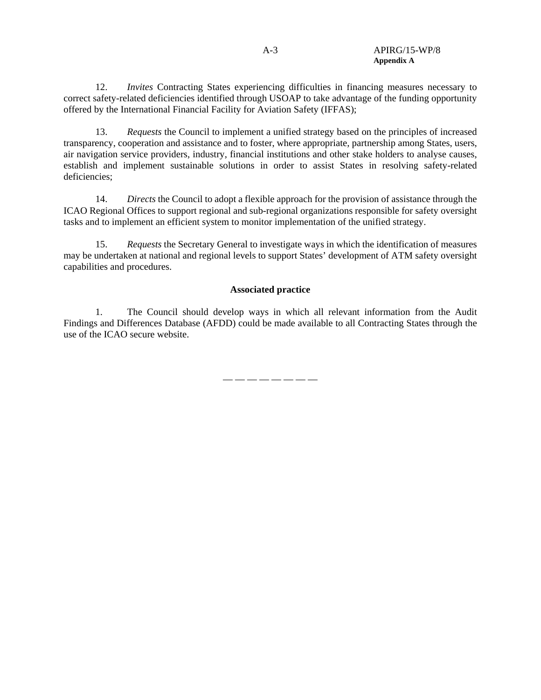12. *Invites* Contracting States experiencing difficulties in financing measures necessary to correct safety-related deficiencies identified through USOAP to take advantage of the funding opportunity offered by the International Financial Facility for Aviation Safety (IFFAS);

13. *Requests* the Council to implement a unified strategy based on the principles of increased transparency, cooperation and assistance and to foster, where appropriate, partnership among States, users, air navigation service providers, industry, financial institutions and other stake holders to analyse causes, establish and implement sustainable solutions in order to assist States in resolving safety-related deficiencies;

14. *Directs* the Council to adopt a flexible approach for the provision of assistance through the ICAO Regional Offices to support regional and sub-regional organizations responsible for safety oversight tasks and to implement an efficient system to monitor implementation of the unified strategy.

15. *Requests* the Secretary General to investigate ways in which the identification of measures may be undertaken at national and regional levels to support States' development of ATM safety oversight capabilities and procedures.

#### **Associated practice**

1. The Council should develop ways in which all relevant information from the Audit Findings and Differences Database (AFDD) could be made available to all Contracting States through the use of the ICAO secure website.

 $\overline{\phantom{a}}$  , and the set of the set of the set of the set of the set of the set of the set of the set of the set of the set of the set of the set of the set of the set of the set of the set of the set of the set of the s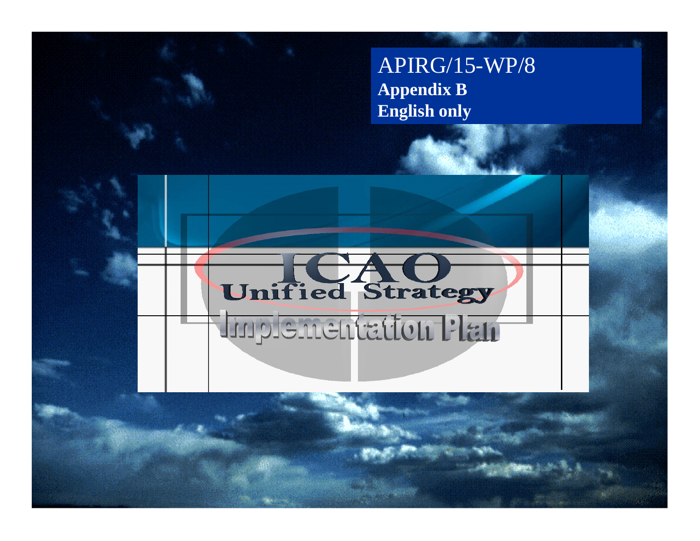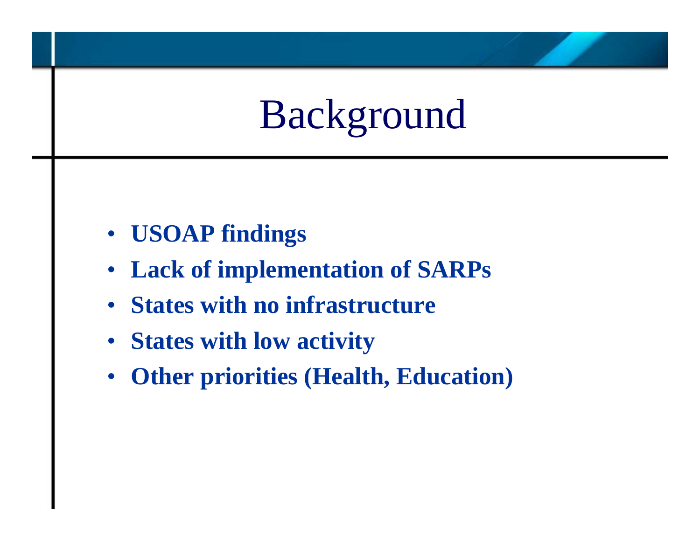# Background

- **USOAP findings**
- $\bullet$ **Lack of implementation of SARPs**
- •**States with no infrastructure**
- **States with low activity**
- $\bullet$ **Other priorities (Health, Education)**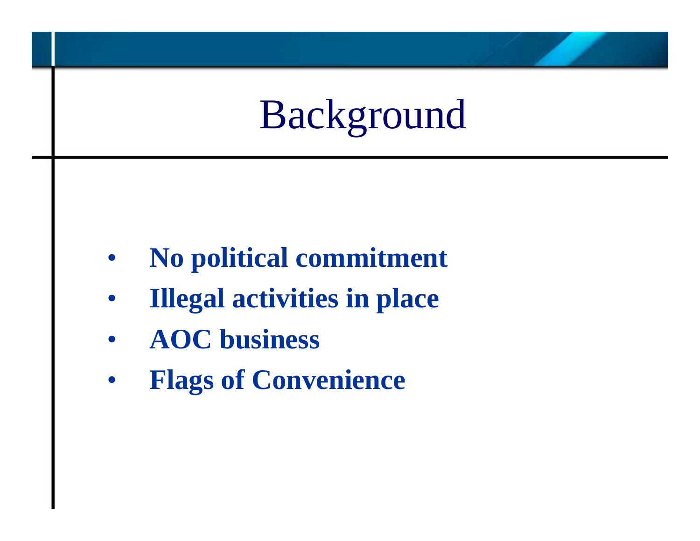# Background

- •**No political commitment**
- $\bullet$ **Illegal activities in place**
- $\bullet$ **AOC business**
- $\bullet$ **Flags of Convenience**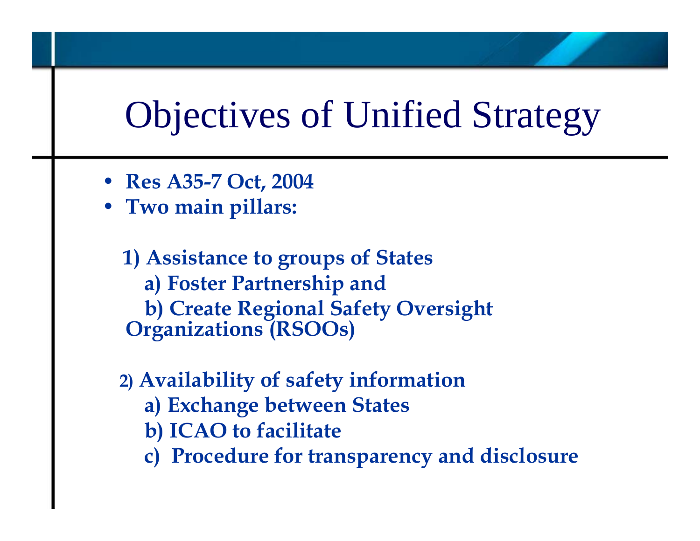### Objectives of Unified Strategy

- **Res A35-7 Oct, 2004**
- **Two main pillars:**

**1) Assistance to groups of States a) Foster Partnership and b) Create Regional Safety Oversight Organizations (RSOOs)**

- **2) Availability of safety information**
	- **a) Exchange between States**
	- **b) ICAO to facilitate**
	- **c) Procedure for transparency and disclosure**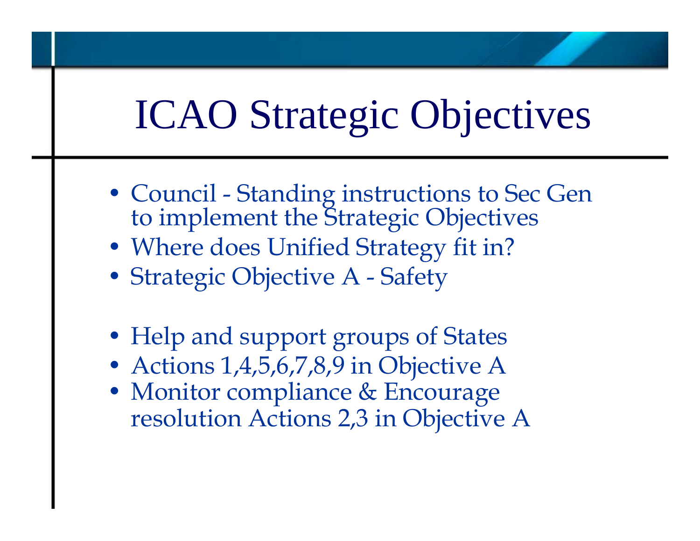## ICAO Strategic Objectives

- Council Standing instructions to Sec Gen to implement the Strategic Objectives
- Where does Unified Strategy fit in?
- Strategic Objective A Safety
- Help and support groups of States
- Actions 1,4,5,6,7,8,9 in Objective A
- Monitor compliance & Encourage resolution Actions 2,3 in Objective A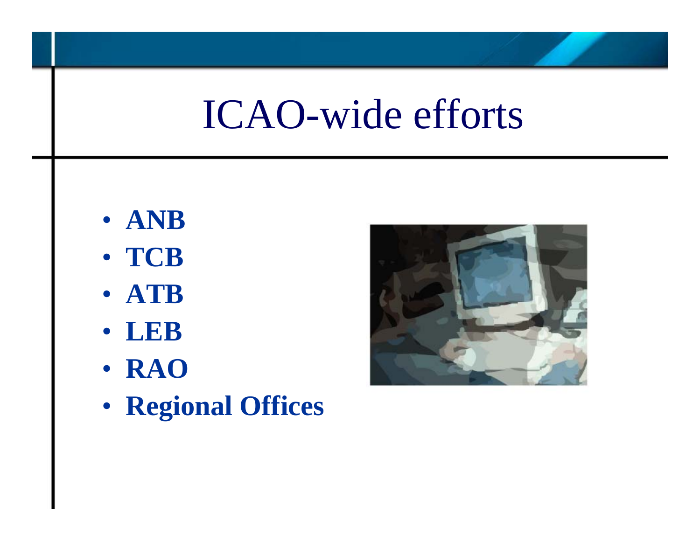### ICAO-wide efforts

- **ANB**
- **TCB**
- **ATB**
- **LEB**
- **RAO**
- **Regional Offices**

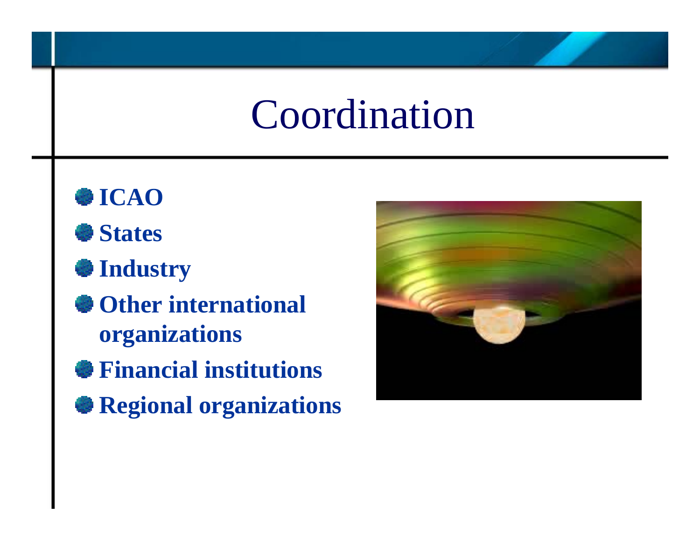### Coordination

- **ICAOStates**
- **Industry**
- **Other international organizations**
- **Financial institutions**
- **Regional organizations**

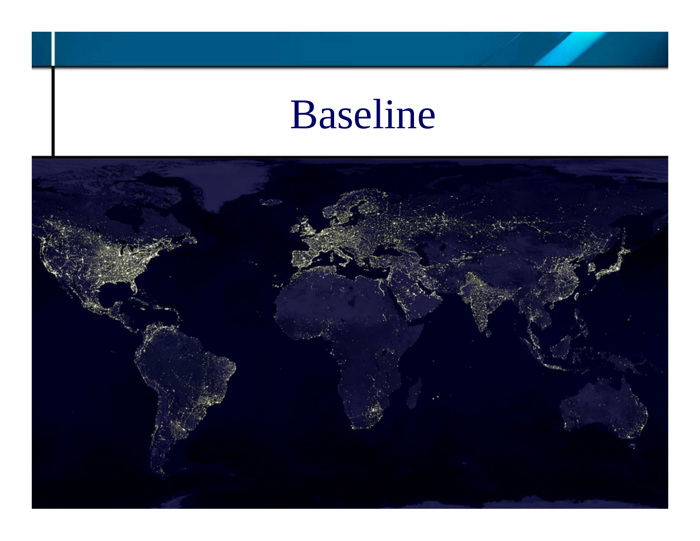### Baseline

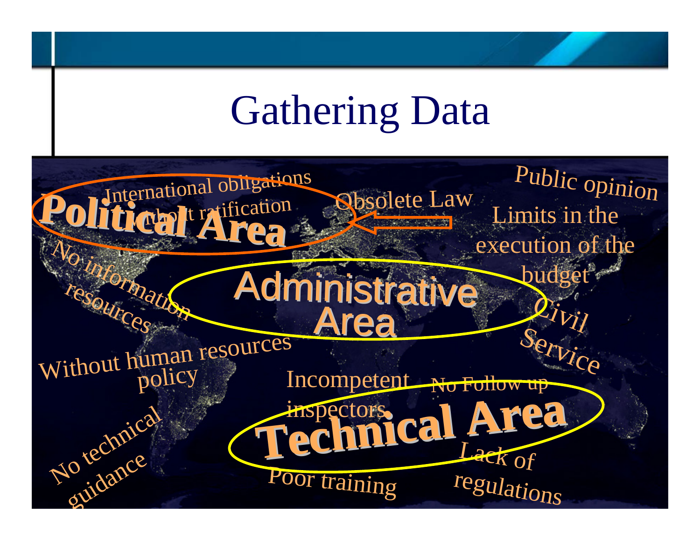## Gathering Data

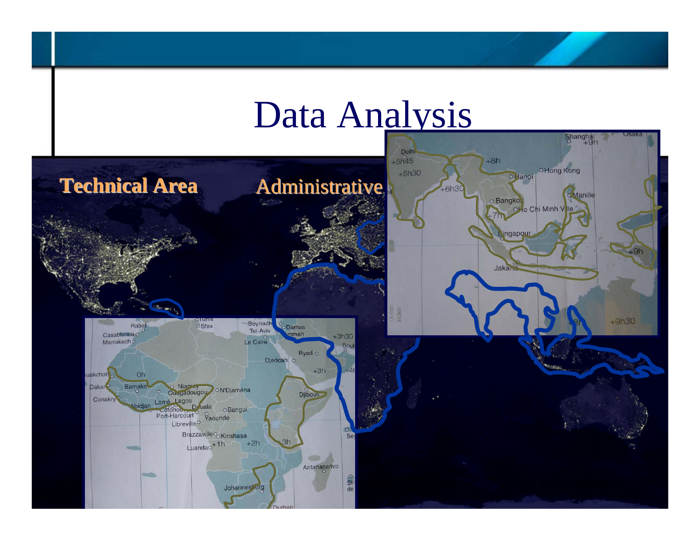### Data Analysis

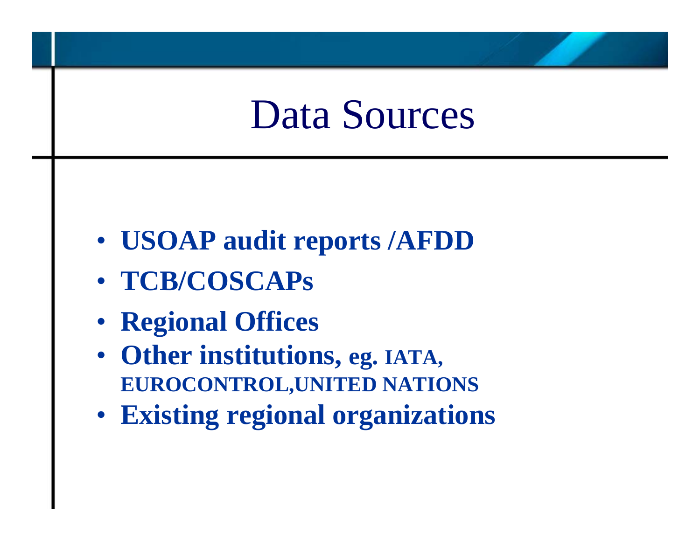### Data Sources

- **USOAP audit reports /AFDD**
- **TCB/COSCAPs**
- **Regional Offices**
- **Other institutions, eg. IATA, EUROCONTROL,UNITED NATIONS**
- **Existing regional organizations**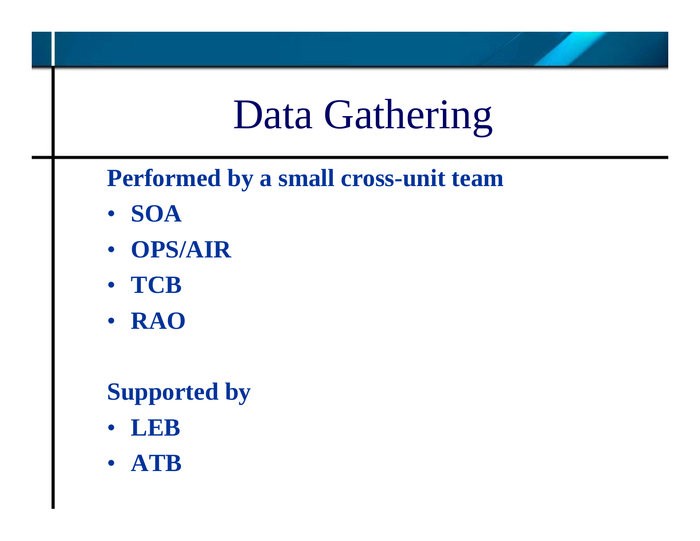## Data Gathering

**Performed by a small cross-unit team**

- **SOA**
- **OPS/AIR**
- **TCB**
- **RAO**

### **Supported by**

- $\bullet$ **LEB**
- **ATB**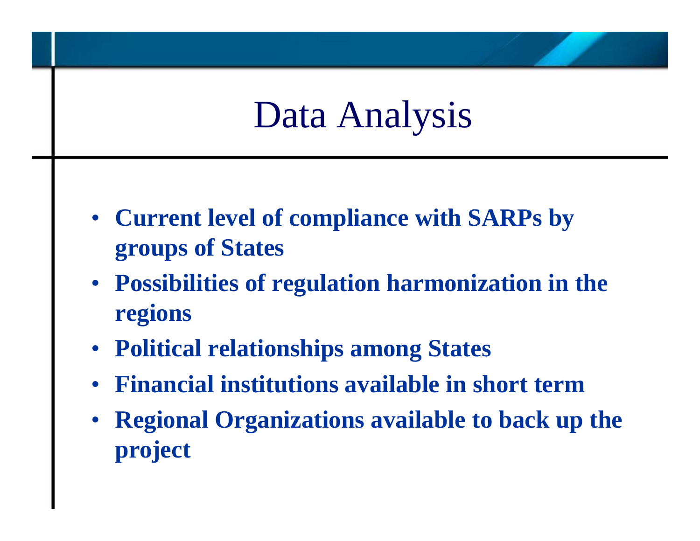## Data Analysis

- **Current level of compliance with SARPs by groups of States**
- **Possibilities of regulation harmonization in the regions**
- **Political relationships among States**
- **Financial institutions available in short term**
- • **Regional Organizations available to back up the project**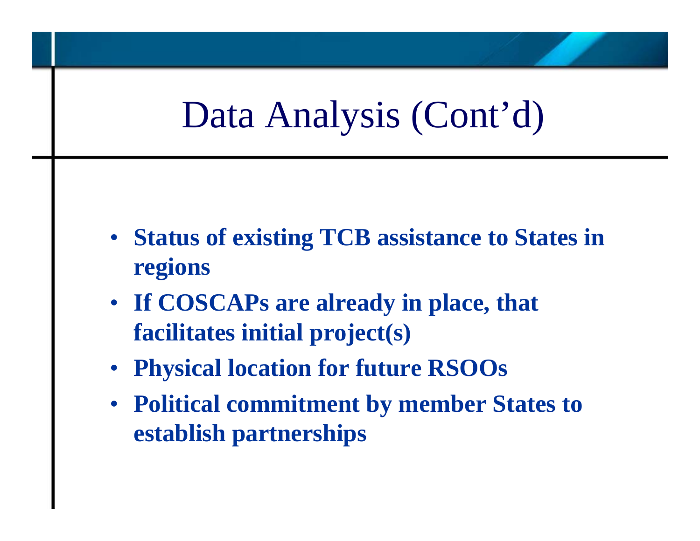### Data Analysis (Cont'd)

- $\bullet$  **Status of existing TCB assistance to States in regions**
- **If COSCAPs are already in place, that facilitates initial project(s)**
- $\bullet$ **Physical location for future RSOOs**
- **Political commitment by member States to establish partnerships**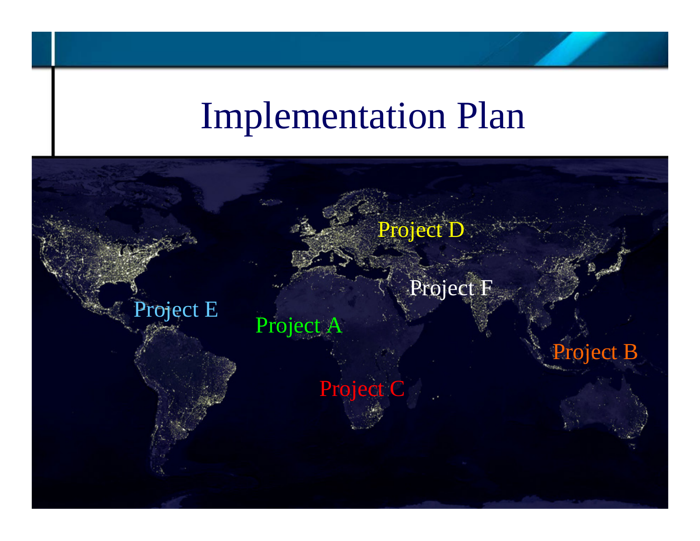### Implementation Plan

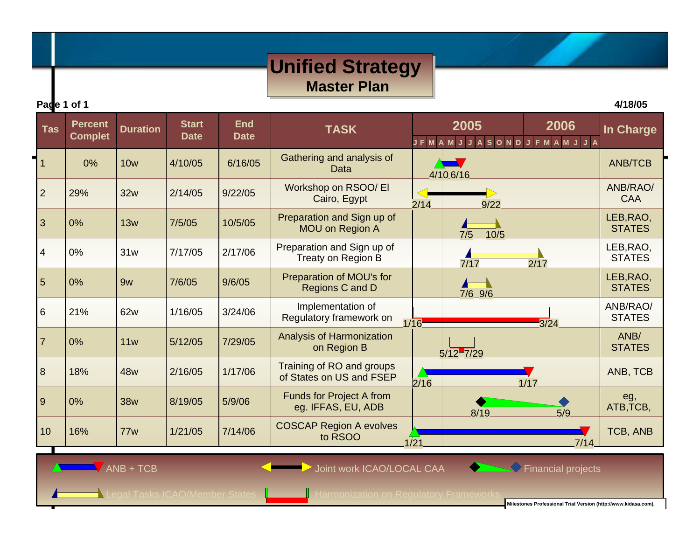#### **Master Plan Unified Strategy**

**Page 1 of 1 4/18/05**

| <b>Tas</b>     | <b>Percent</b><br><b>Complet</b> | <b>Duration</b> | <b>Start</b><br><b>Date</b> | <b>End</b><br><b>Date</b> | <b>TASK</b>                                           | 2005<br>SOND   | 2006 | In Charge                  |
|----------------|----------------------------------|-----------------|-----------------------------|---------------------------|-------------------------------------------------------|----------------|------|----------------------------|
|                | 0%                               | <b>10w</b>      | 4/10/05                     | 6/16/05                   | Gathering and analysis of<br>Data                     | 4/10.6/16      |      | <b>ANB/TCB</b>             |
| $\overline{2}$ | 29%                              | <b>32w</b>      | 2/14/05                     | 9/22/05                   | Workshop on RSOO/ EI<br>Cairo, Egypt                  | 2/14<br>9/22   |      | ANB/RAO/<br><b>CAA</b>     |
| 3              | 0%                               | 13w             | 7/5/05                      | 10/5/05                   | Preparation and Sign up of<br><b>MOU on Region A</b>  | 7/5<br>$-10/5$ |      | LEB, RAO,<br><b>STATES</b> |
| 4              | 0%                               | 31w             | 7/17/05                     | 2/17/06                   | Preparation and Sign up of<br>Treaty on Region B      | 7/17           | 2/17 | LEB, RAO,<br><b>STATES</b> |
| 5              | 0%                               | 9w              | 7/6/05                      | 9/6/05                    | Preparation of MOU's for<br>Regions C and D           | 7/6_9/6        |      | LEB, RAO,<br><b>STATES</b> |
| 6              | 21%                              | 62w             | 1/16/05                     | 3/24/06                   | Implementation of<br>Regulatory framework on          | 1/16           | 3/24 | ANB/RAO/<br><b>STATES</b>  |
| $\overline{7}$ | 0%                               | 11w             | 5/12/05                     | 7/29/05                   | Analysis of Harmonization<br>on Region B              | $5/12 - 7/29$  |      | ANB/<br><b>STATES</b>      |
| 8              | 18%                              | 48w             | 2/16/05                     | 1/17/06                   | Training of RO and groups<br>of States on US and FSEP | 2/16           | 1/17 | ANB, TCB                   |
| 9              | 0%                               | <b>38w</b>      | 8/19/05                     | 5/9/06                    | <b>Funds for Project A from</b><br>eg. IFFAS, EU, ADB | 8/19           | 5/9  | eg,<br>ATB, TCB,           |
| 10             | 16%                              | <b>77w</b>      | 1/21/05                     | 7/14/06                   | <b>COSCAP Region A evolves</b><br>to RSOO             | 1/21           | 7/14 | TCB, ANB                   |



 $\blacktriangledown$  ANB + TCB  $\blacktriangleleft$  Joint work ICAO/LOCAL CAA

Financial projects

Legal Tasks ICAO/Member States **Register Harmonization on Regulatory Framework** 

**Milestones Professional Trial Version (http://www.kidasa.com).**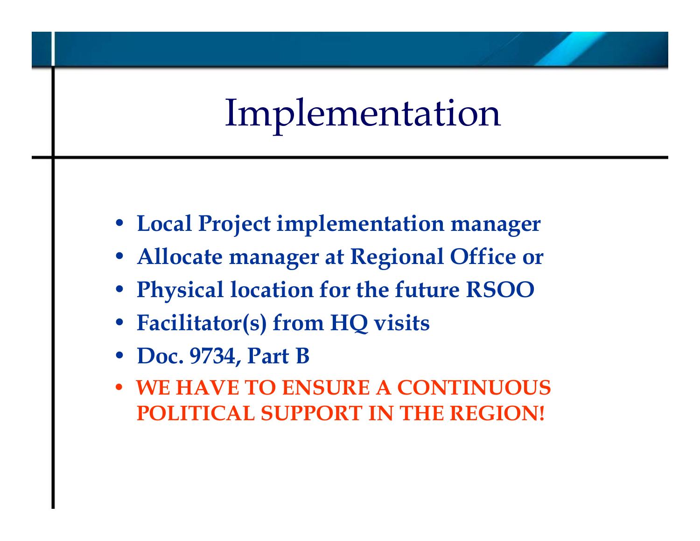### Implementation

- **Local Project implementation manager**
- **Allocate manager at Regional Office or**
- •**Physical location for the future RSOO**
- •**Facilitator(s) from HQ visits**
- •**Doc. 9734, Part B**
- • **WE HAVE TO ENSURE A CONTINUOUS POLITICAL SUPPORT IN THE REGION!**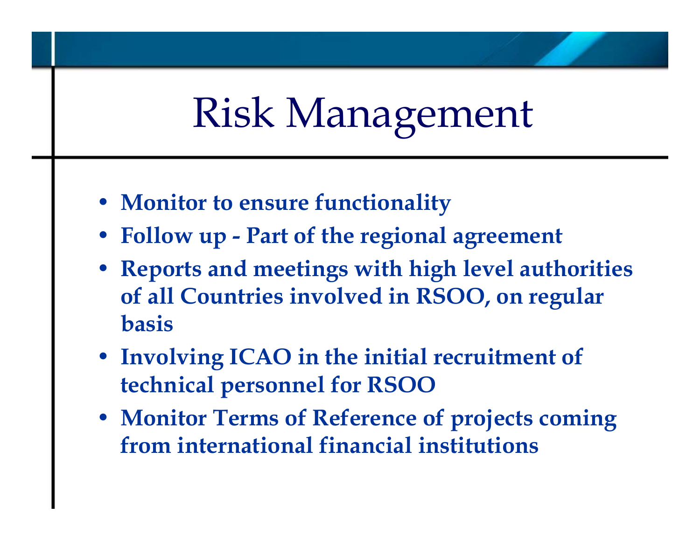# Risk Management

- **Monitor to ensure functionality**
- **Follow up - Part of the regional agreement**
- **Reports and meetings with high level authorities of all Countries involved in RSOO, on regular basis**
- **Involving ICAO in the initial recruitment of technical personnel for RSOO**
- **Monitor Terms of Reference of projects coming from international financial institutions**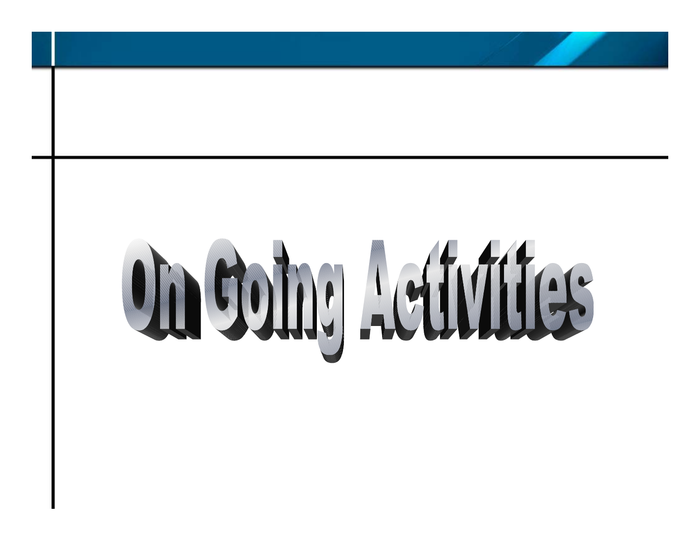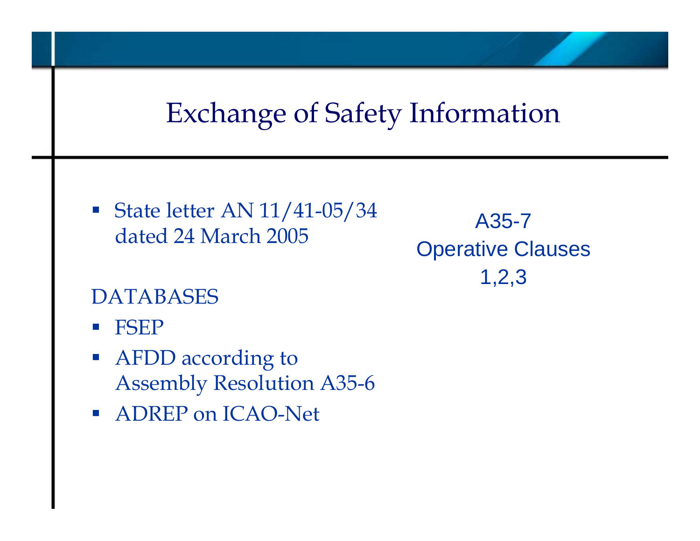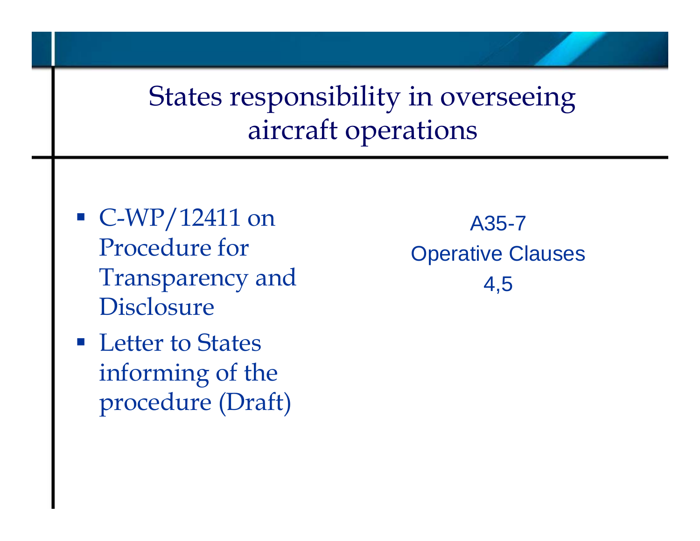States responsibility in overseeing aircraft operations

- $\blacksquare$  C-WP/12411 on Procedure for Transparency and **Disclosure**
- Letter to States informing of the procedure (Draft)

A35-7 Operative Clauses 4,5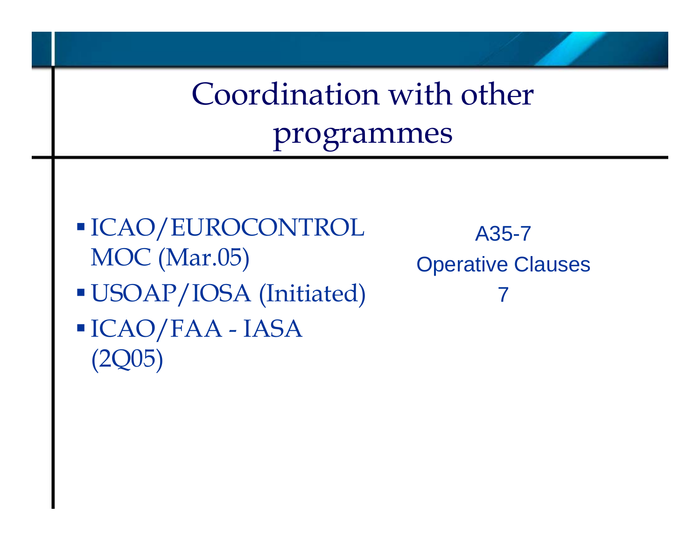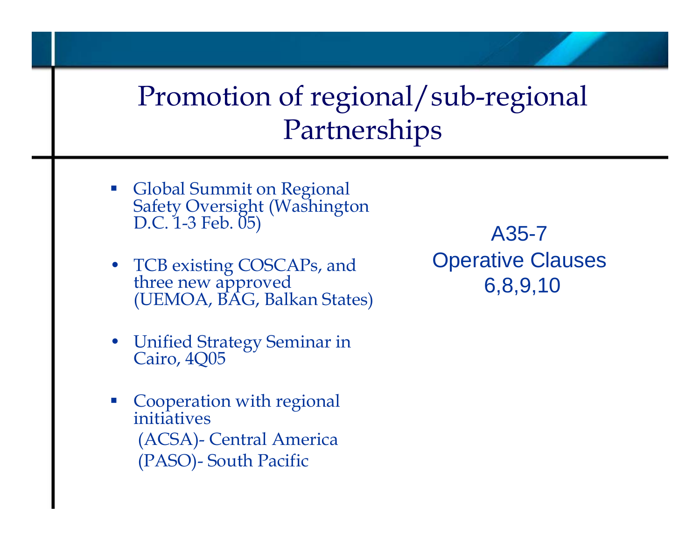### Promotion of regional/sub-regional Partnerships

- p. Global Summit on Regional Safety Oversight (Washington D.C. 1-3 Feb. 05)
- TCB existing COSCAPs, and three new approved<br>(UEMOA, BAG, Balkan States)

A35-7Operative Clauses 6,8,9,10

- •Unified Strategy Seminar in Cairo, 4Q05
- þ. Cooperation with regional initiatives(ACSA)- Central America (PASO)- South Pacific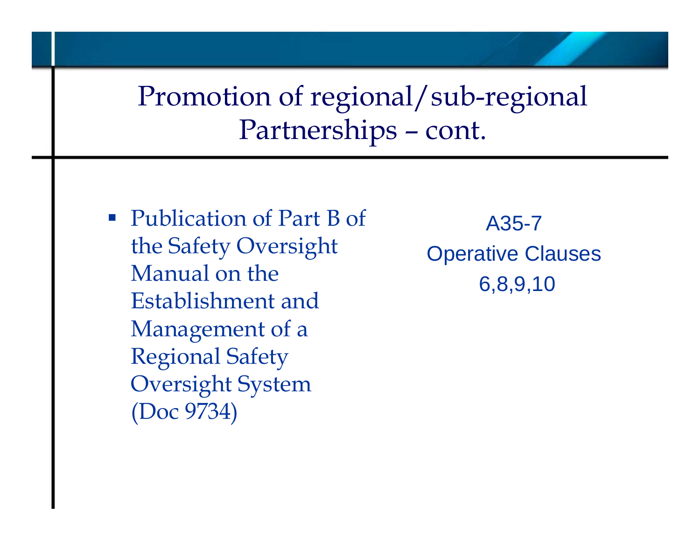Promotion of regional/sub-regional Partnerships – cont.

• Publication of Part B of the Safety Oversight Manual on the Establishment and Management of a Regional Safety Oversight System (Doc 9734)

A35-7Operative Clauses 6,8,9,10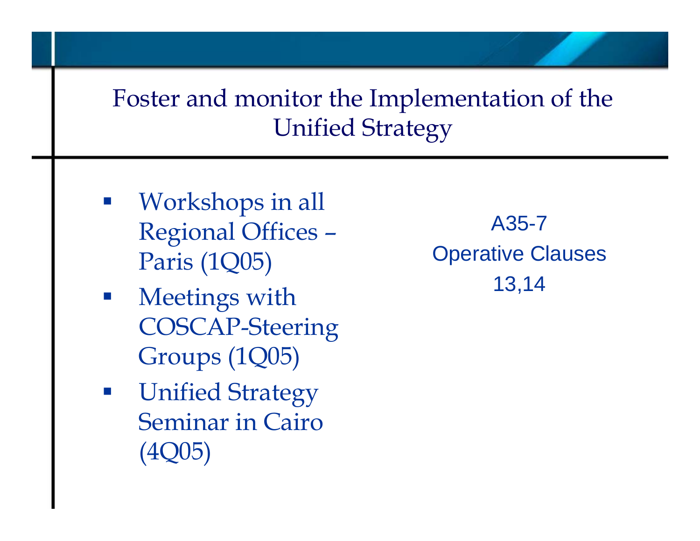Foster and monitor the Implementation of the Unified Strategy

- $\mathbb{R}^n$  Workshops in all Regional Offices – Paris (1Q05)
- Meetings with COSCAP-Steering Groups (1Q05)
- Unified Strategy Seminar in Cairo (4Q05)

A35-7 Operative Clauses 13,14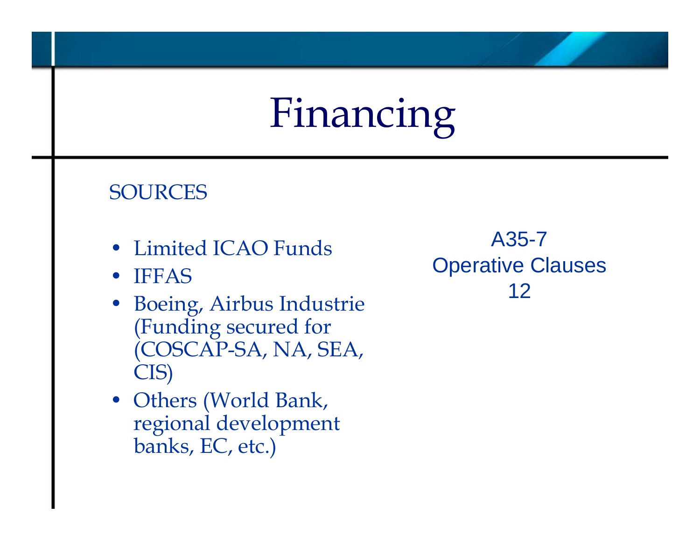# Financing

### SOURCES

- •Limited ICAO Funds
- $\bullet$ IFFAS
- $\bullet$  Boeing, Airbus Industrie (Funding secured for (COSCAP-SA, NA, SEA, CIS)
- Others (World Bank, regional development banks, EC, etc.)

A35-7**Operative Clauses** 12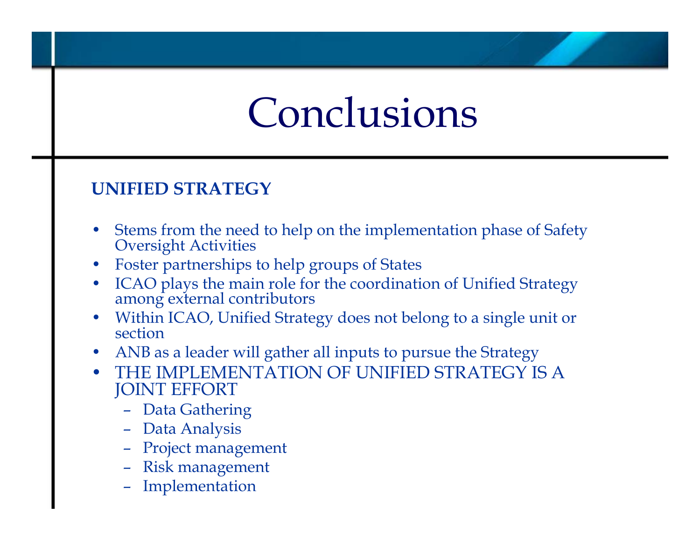## Conclusions

### **UNIFIED STRATEGY**

- •Stems from the need to help on the implementation phase of Safety Oversight Activities
- •Foster partnerships to help groups of States
- •ICAO plays the main role for the coordination of Unified Strategy among external contributors
- •Within ICAO, Unified Strategy does not belong to a single unit or section
- $\bullet$ ANB as a leader will gather all inputs to pursue the Strategy
- • THE IMPLEMENTATION OF UNIFIED STRATEGY IS A JOINT EFFORT
	- –Data Gathering
	- –Data Analysis
	- Project management
	- –Risk management
	- –Implementation